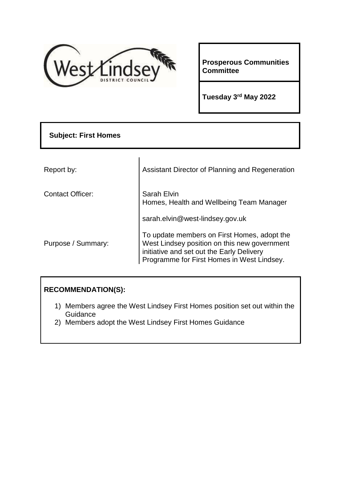

**Prosperous Communities Committee** 

**Tuesday 3 rd May 2022**

| <b>Subject: First Homes</b> |                                                                                                                                                                                        |
|-----------------------------|----------------------------------------------------------------------------------------------------------------------------------------------------------------------------------------|
|                             |                                                                                                                                                                                        |
| Report by:                  | Assistant Director of Planning and Regeneration                                                                                                                                        |
| <b>Contact Officer:</b>     | Sarah Elvin<br>Homes, Health and Wellbeing Team Manager                                                                                                                                |
|                             | sarah.elvin@west-lindsey.gov.uk                                                                                                                                                        |
| Purpose / Summary:          | To update members on First Homes, adopt the<br>West Lindsey position on this new government<br>initiative and set out the Early Delivery<br>Programme for First Homes in West Lindsey. |

# **RECOMMENDATION(S):**

- 1) Members agree the West Lindsey First Homes position set out within the **Guidance**
- 2) Members adopt the West Lindsey First Homes Guidance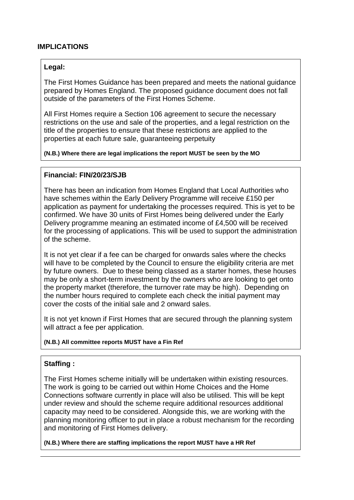### **IMPLICATIONS**

### **Legal:**

The First Homes Guidance has been prepared and meets the national guidance prepared by Homes England. The proposed guidance document does not fall outside of the parameters of the First Homes Scheme.

All First Homes require a Section 106 agreement to secure the necessary restrictions on the use and sale of the properties, and a legal restriction on the title of the properties to ensure that these restrictions are applied to the properties at each future sale, guaranteeing perpetuity

#### **(N.B.) Where there are legal implications the report MUST be seen by the MO**

### **Financial: FIN/20/23/SJB**

There has been an indication from Homes England that Local Authorities who have schemes within the Early Delivery Programme will receive £150 per application as payment for undertaking the processes required. This is yet to be confirmed. We have 30 units of First Homes being delivered under the Early Delivery programme meaning an estimated income of £4,500 will be received for the processing of applications. This will be used to support the administration of the scheme.

It is not yet clear if a fee can be charged for onwards sales where the checks will have to be completed by the Council to ensure the eligibility criteria are met by future owners. Due to these being classed as a starter homes, these houses may be only a short-term investment by the owners who are looking to get onto the property market (therefore, the turnover rate may be high). Depending on the number hours required to complete each check the initial payment may cover the costs of the initial sale and 2 onward sales.

It is not yet known if First Homes that are secured through the planning system will attract a fee per application.

#### **(N.B.) All committee reports MUST have a Fin Ref**

### **Staffing :**

The First Homes scheme initially will be undertaken within existing resources. The work is going to be carried out within Home Choices and the Home Connections software currently in place will also be utilised. This will be kept under review and should the scheme require additional resources additional capacity may need to be considered. Alongside this, we are working with the planning monitoring officer to put in place a robust mechanism for the recording and monitoring of First Homes delivery.

**(N.B.) Where there are staffing implications the report MUST have a HR Ref**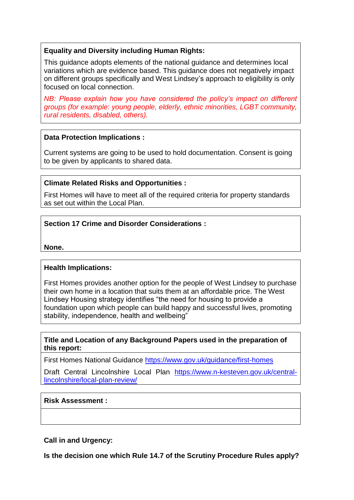### **Equality and Diversity including Human Rights:**

This guidance adopts elements of the national guidance and determines local variations which are evidence based. This guidance does not negatively impact on different groups specifically and West Lindsey's approach to eligibility is only focused on local connection.

*NB: Please explain how you have considered the policy's impact on different groups (for example: young people, elderly, ethnic minorities, LGBT community, rural residents, disabled, others).*

### **Data Protection Implications :**

Current systems are going to be used to hold documentation. Consent is going to be given by applicants to shared data.

### **Climate Related Risks and Opportunities :**

First Homes will have to meet all of the required criteria for property standards as set out within the Local Plan.

### **Section 17 Crime and Disorder Considerations :**

**None.** 

### **Health Implications:**

First Homes provides another option for the people of West Lindsey to purchase their own home in a location that suits them at an affordable price. The West Lindsey Housing strategy identifies "the need for housing to provide a foundation upon which people can build happy and successful lives, promoting stability, independence, health and wellbeing"

### **Title and Location of any Background Papers used in the preparation of this report:**

First Homes National Guidance<https://www.gov.uk/guidance/first-homes>

Draft Central Lincolnshire Local Plan [https://www.n-kesteven.gov.uk/central](https://www.n-kesteven.gov.uk/central-lincolnshire/local-plan-review/)[lincolnshire/local-plan-review/](https://www.n-kesteven.gov.uk/central-lincolnshire/local-plan-review/)

### **Risk Assessment :**

**Call in and Urgency:**

**Is the decision one which Rule 14.7 of the Scrutiny Procedure Rules apply?**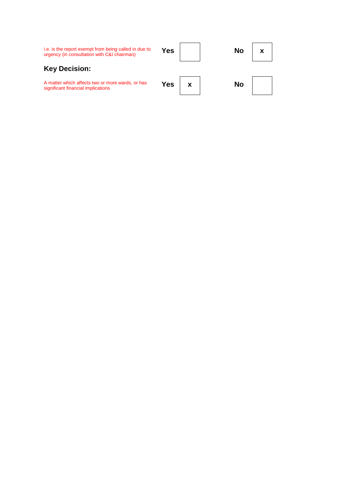| i.e. is the report exempt from being called in due to<br>urgency (in consultation with C&I chairman) | Yes | No |  |
|------------------------------------------------------------------------------------------------------|-----|----|--|
| <b>Key Decision:</b>                                                                                 |     |    |  |
| A matter which affects two or more wards, or has<br>significant financial implications               | Yes | No |  |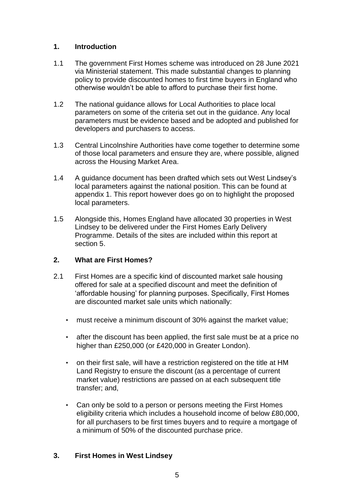## **1. Introduction**

- 1.1 The government First Homes scheme was introduced on 28 June 2021 via Ministerial statement. This made substantial changes to planning policy to provide discounted homes to first time buyers in England who otherwise wouldn't be able to afford to purchase their first home.
- 1.2 The national guidance allows for Local Authorities to place local parameters on some of the criteria set out in the guidance. Any local parameters must be evidence based and be adopted and published for developers and purchasers to access.
- 1.3 Central Lincolnshire Authorities have come together to determine some of those local parameters and ensure they are, where possible, aligned across the Housing Market Area.
- 1.4 A guidance document has been drafted which sets out West Lindsey's local parameters against the national position. This can be found at appendix 1. This report however does go on to highlight the proposed local parameters.
- 1.5 Alongside this, Homes England have allocated 30 properties in West Lindsey to be delivered under the First Homes Early Delivery Programme. Details of the sites are included within this report at section 5.

## **2. What are First Homes?**

- 2.1 First Homes are a specific kind of discounted market sale housing offered for sale at a specified discount and meet the definition of 'affordable housing' for planning purposes. Specifically, First Homes are discounted market sale units which nationally:
	- must receive a minimum discount of 30% against the market value;
	- after the discount has been applied, the first sale must be at a price no higher than £250,000 (or £420,000 in Greater London).
	- on their first sale, will have a restriction registered on the title at HM Land Registry to ensure the discount (as a percentage of current market value) restrictions are passed on at each subsequent title transfer; and,
	- Can only be sold to a person or persons meeting the First Homes eligibility criteria which includes a household income of below £80,000, for all purchasers to be first times buyers and to require a mortgage of a minimum of 50% of the discounted purchase price.

# **3. First Homes in West Lindsey**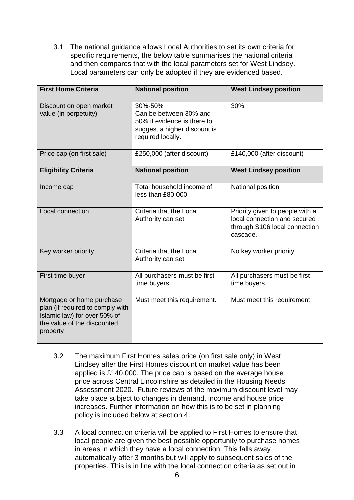3.1 The national guidance allows Local Authorities to set its own criteria for specific requirements, the below table summarises the national criteria and then compares that with the local parameters set for West Lindsey. Local parameters can only be adopted if they are evidenced based.

| <b>First Home Criteria</b>                                                                                                               | <b>National position</b>                                                                                              | <b>West Lindsey position</b>                                                                                 |
|------------------------------------------------------------------------------------------------------------------------------------------|-----------------------------------------------------------------------------------------------------------------------|--------------------------------------------------------------------------------------------------------------|
| Discount on open market<br>value (in perpetuity)                                                                                         | 30%-50%<br>Can be between 30% and<br>50% if evidence is there to<br>suggest a higher discount is<br>required locally. | 30%                                                                                                          |
| Price cap (on first sale)                                                                                                                | £250,000 (after discount)                                                                                             | £140,000 (after discount)                                                                                    |
| <b>Eligibility Criteria</b>                                                                                                              | <b>National position</b>                                                                                              | <b>West Lindsey position</b>                                                                                 |
| Income cap                                                                                                                               | Total household income of<br>less than £80,000                                                                        | National position                                                                                            |
| Local connection                                                                                                                         | Criteria that the Local<br>Authority can set                                                                          | Priority given to people with a<br>local connection and secured<br>through S106 local connection<br>cascade. |
| Key worker priority                                                                                                                      | Criteria that the Local<br>Authority can set                                                                          | No key worker priority                                                                                       |
| First time buyer                                                                                                                         | All purchasers must be first<br>time buyers.                                                                          | All purchasers must be first<br>time buyers.                                                                 |
| Mortgage or home purchase<br>plan (if required to comply with<br>Islamic law) for over 50% of<br>the value of the discounted<br>property | Must meet this requirement.                                                                                           | Must meet this requirement.                                                                                  |

- 3.2 The maximum First Homes sales price (on first sale only) in West Lindsey after the First Homes discount on market value has been applied is £140,000. The price cap is based on the average house price across Central Lincolnshire as detailed in the Housing Needs Assessment 2020. Future reviews of the maximum discount level may take place subject to changes in demand, income and house price increases. Further information on how this is to be set in planning policy is included below at section 4.
- 3.3 A local connection criteria will be applied to First Homes to ensure that local people are given the best possible opportunity to purchase homes in areas in which they have a local connection. This falls away automatically after 3 months but will apply to subsequent sales of the properties. This is in line with the local connection criteria as set out in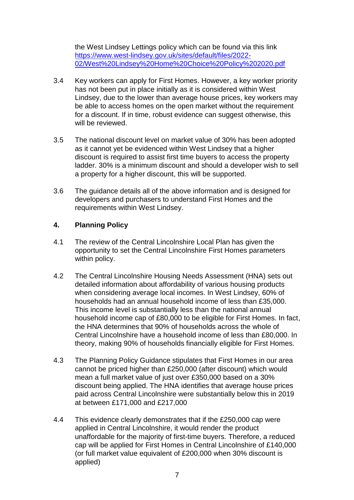the West Lindsey Lettings policy which can be found via this link [https://www.west-lindsey.gov.uk/sites/default/files/2022-](https://www.west-lindsey.gov.uk/sites/default/files/2022-02/West%20Lindsey%20Home%20Choice%20Policy%202020.pdf) [02/West%20Lindsey%20Home%20Choice%20Policy%202020.pdf](https://www.west-lindsey.gov.uk/sites/default/files/2022-02/West%20Lindsey%20Home%20Choice%20Policy%202020.pdf)

- 3.4 Key workers can apply for First Homes. However, a key worker priority has not been put in place initially as it is considered within West Lindsey, due to the lower than average house prices, key workers may be able to access homes on the open market without the requirement for a discount. If in time, robust evidence can suggest otherwise, this will be reviewed.
- 3.5 The national discount level on market value of 30% has been adopted as it cannot yet be evidenced within West Lindsey that a higher discount is required to assist first time buyers to access the property ladder. 30% is a minimum discount and should a developer wish to sell a property for a higher discount, this will be supported.
- 3.6 The guidance details all of the above information and is designed for developers and purchasers to understand First Homes and the requirements within West Lindsey.

## **4. Planning Policy**

- 4.1 The review of the Central Lincolnshire Local Plan has given the opportunity to set the Central Lincolnshire First Homes parameters within policy.
- 4.2 The Central Lincolnshire Housing Needs Assessment (HNA) sets out detailed information about affordability of various housing products when considering average local incomes. In West Lindsey, 60% of households had an annual household income of less than £35,000. This income level is substantially less than the national annual household income cap of £80,000 to be eligible for First Homes. In fact, the HNA determines that 90% of households across the whole of Central Lincolnshire have a household income of less than £80,000. In theory, making 90% of households financially eligible for First Homes.
- 4.3 The Planning Policy Guidance stipulates that First Homes in our area cannot be priced higher than £250,000 (after discount) which would mean a full market value of just over £350,000 based on a 30% discount being applied. The HNA identifies that average house prices paid across Central Lincolnshire were substantially below this in 2019 at between £171,000 and £217,000
- 4.4 This evidence clearly demonstrates that if the £250,000 cap were applied in Central Lincolnshire, it would render the product unaffordable for the majority of first-time buyers. Therefore, a reduced cap will be applied for First Homes in Central Lincolnshire of £140,000 (or full market value equivalent of £200,000 when 30% discount is applied)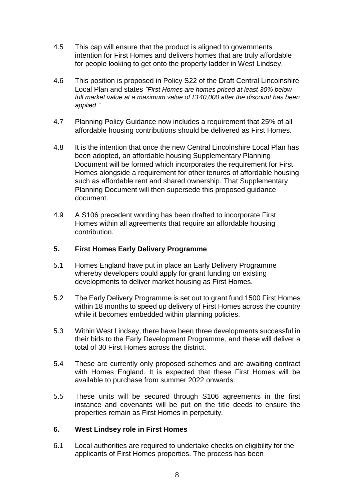- 4.5 This cap will ensure that the product is aligned to governments intention for First Homes and delivers homes that are truly affordable for people looking to get onto the property ladder in West Lindsey.
- 4.6 This position is proposed in Policy S22 of the Draft Central Lincolnshire Local Plan and states *"First Homes are homes priced at least 30% below full market value at a maximum value of £140,000 after the discount has been applied."*
- 4.7 Planning Policy Guidance now includes a requirement that 25% of all affordable housing contributions should be delivered as First Homes.
- 4.8 It is the intention that once the new Central Lincolnshire Local Plan has been adopted, an affordable housing Supplementary Planning Document will be formed which incorporates the requirement for First Homes alongside a requirement for other tenures of affordable housing such as affordable rent and shared ownership. That Supplementary Planning Document will then supersede this proposed guidance document.
- 4.9 A S106 precedent wording has been drafted to incorporate First Homes within all agreements that require an affordable housing contribution.

### **5. First Homes Early Delivery Programme**

- 5.1 Homes England have put in place an Early Delivery Programme whereby developers could apply for grant funding on existing developments to deliver market housing as First Homes.
- 5.2 The Early Delivery Programme is set out to grant fund 1500 First Homes within 18 months to speed up delivery of First Homes across the country while it becomes embedded within planning policies.
- 5.3 Within West Lindsey, there have been three developments successful in their bids to the Early Development Programme, and these will deliver a total of 30 First Homes across the district.
- 5.4 These are currently only proposed schemes and are awaiting contract with Homes England. It is expected that these First Homes will be available to purchase from summer 2022 onwards.
- 5.5 These units will be secured through S106 agreements in the first instance and covenants will be put on the title deeds to ensure the properties remain as First Homes in perpetuity.

### **6. West Lindsey role in First Homes**

6.1 Local authorities are required to undertake checks on eligibility for the applicants of First Homes properties. The process has been